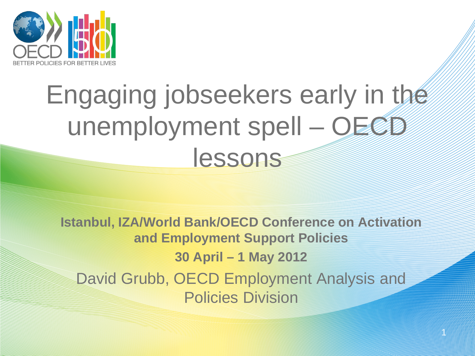

## Engaging jobseekers early in the unemployment spell - OECD lessons

**Istanbul, IZA/World Bank/OECD Conference on Activation and Employment Support Policies 30 April – 1 May 2012** David Grubb, OECD Employment Analysis and Policies Division

1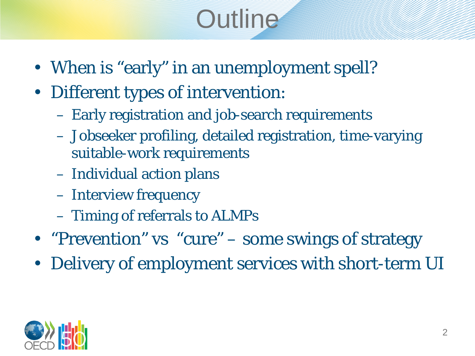# **Outline**

- When is "early" in an unemployment spell?
- Different types of intervention:
	- Early registration and job-search requirements
	- Jobseeker profiling, detailed registration, time-varying suitable-work requirements
	- Individual action plans
	- Interview frequency
	- Timing of referrals to ALMPs
- "Prevention" vs "cure" some swings of strategy
- Delivery of employment services with short-term UI

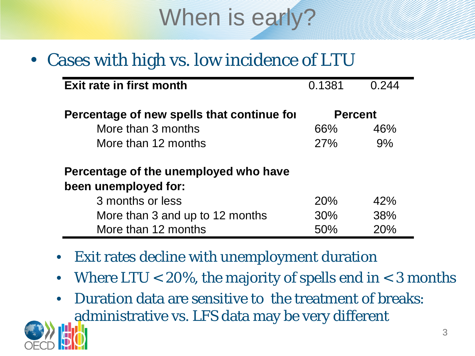

#### • Cases with high vs. low incidence of LTU

| Exit rate in first month                   | 0.1381         | 0.244 |
|--------------------------------------------|----------------|-------|
| Percentage of new spells that continue for | <b>Percent</b> |       |
| More than 3 months                         | 66%            | 46%   |
| More than 12 months                        | 27%            | 9%    |
| Percentage of the unemployed who have      |                |       |
| been unemployed for:                       |                |       |
| 3 months or less                           | 20%            | 42%   |
| More than 3 and up to 12 months            | 30%            | 38%   |
| More than 12 months                        | 50%            | 20%   |

- Exit rates decline with unemployment duration
- Where  $LTU < 20\%$ , the majority of spells end in  $<$  3 months
- Duration data are sensitive to the treatment of breaks: administrative vs. LFS data may be very different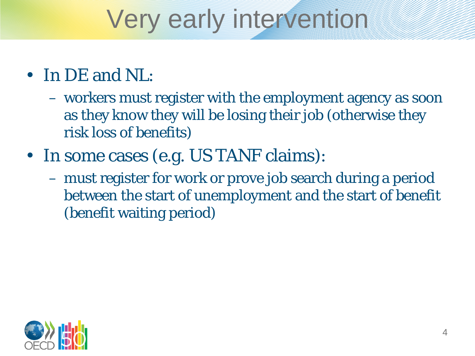## Very early intervention

#### • In DE and NL:

- workers must register with the employment agency as soon as they know they will be losing their job (otherwise they risk loss of benefits)
- In some cases (e.g. US TANF claims):
	- must register for work or prove job search during a period between the start of unemployment and the start of benefit (benefit waiting period)

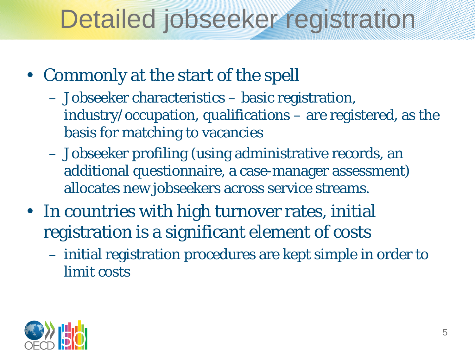# Detailed jobseeker registration

- Commonly at the start of the spell
	- Jobseeker characteristics basic registration, industry/occupation, qualifications – are registered, as the basis for matching to vacancies
	- Jobseeker profiling (using administrative records, an additional questionnaire, a case-manager assessment) allocates new jobseekers across service streams.
- In countries with high turnover rates, initial registration is a significant element of costs
	- initial registration procedures are kept simple in order to limit costs

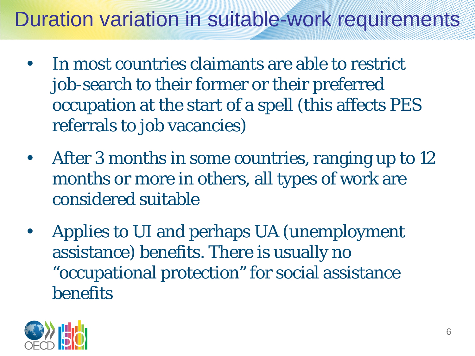#### Duration variation in suitable-work requirements

- In most countries claimants are able to restrict job-search to their former or their preferred occupation at the start of a spell (this affects PES referrals to job vacancies)
- After 3 months in some countries, ranging up to 12 months or more in others, all types of work are considered suitable
- Applies to UI and perhaps UA (unemployment assistance) benefits. There is usually no "occupational protection" for social assistance benefits

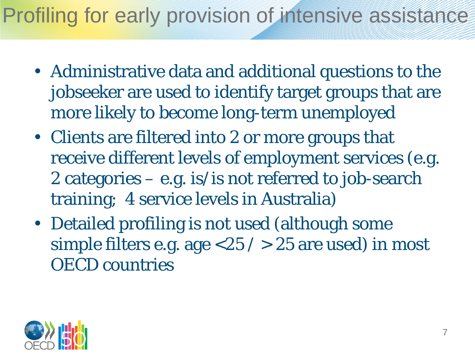#### Profiling for early provision of intensive assistance

- Administrative data and additional questions to the jobseeker are used to identify target groups that are more likely to become long-term unemployed
- Clients are filtered into 2 or more groups that receive different levels of employment services (e.g. 2 categories  $-$  e.g. is/is not referred to job-search training; 4 service levels in Australia)
- Detailed profiling is not used (although some simple filters e.g. age  $<\!\!25$  /  $>\!\!25$  are used) in most OECD countries

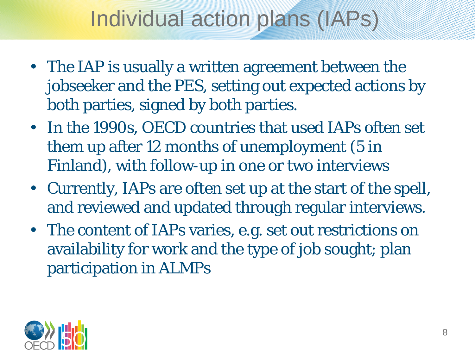### Individual action plans (IAPs)

- The IAP is usually a written agreement between the jobseeker and the PES, setting out expected actions by both parties, signed by both parties.
- In the 1990s, OECD countries that used IAPs often set them up after 12 months of unemployment (5 in Finland), with follow-up in one or two interviews
- Currently, IAPs are often set up at the start of the spell, and reviewed and updated through regular interviews.
- The content of IAPs varies, e.g. set out restrictions on availability for work and the type of job sought; plan participation in ALMPs

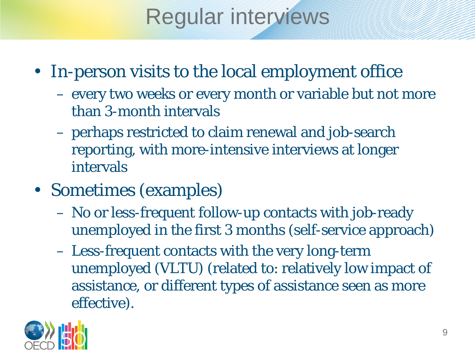### Regular interviews

- In-person visits to the local employment office
	- every two weeks or every month or variable but not more than 3-month intervals
	- perhaps restricted to claim renewal and job-search reporting, with more-intensive interviews at longer intervals
- Sometimes (examples)
	- No or less-frequent follow-up contacts with job-ready unemployed in the first 3 months (self-service approach)
	- Less-frequent contacts with the very long-term unemployed (VLTU) (related to: relatively low impact of assistance, or different types of assistance seen as more effective).

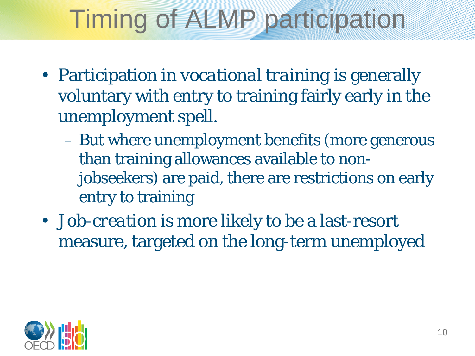# Timing of ALMP participation

- Participation in *vocational training* is generally voluntary with entry to training fairly early in the unemployment spell.
	- But where unemployment benefits (more generous than training allowances available to nonjobseekers) are paid, there are restrictions on early entry to training
- *Job-creation* is more likely to be a last-resort measure, targeted on the long-term unemployed

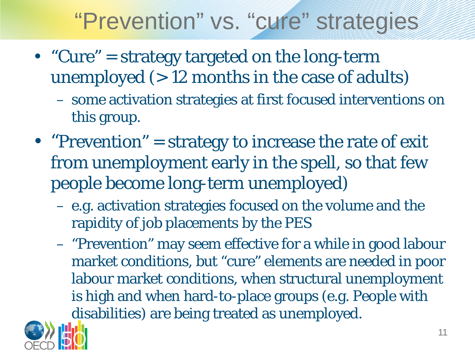### "Prevention" vs. "cure" strategies

- "Cure" = strategy targeted on the long-term unemployed  $(>12$  months in the case of adults)
	- some activation strategies at first focused interventions on this group.
- "Prevention" = strategy to increase the rate of exit from unemployment early in the spell, so that few people become long-term unemployed)
	- e.g. activation strategies focused on the volume and the rapidity of job placements by the PES
	- "Prevention" may seem effective for a while in good labour market conditions, but "cure" elements are needed in poor labour market conditions, when structural unemployment is high and when hard-to-place groups (e.g. People with disabilities) are being treated as unemployed.